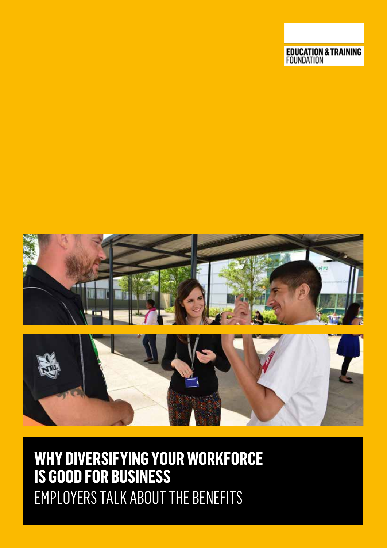





**WHY DIVERSIFYING YOUR WORKFORCE IS GOOD FOR BUSINESS** EMPLOYERS TALK ABOUT THE BENEFITS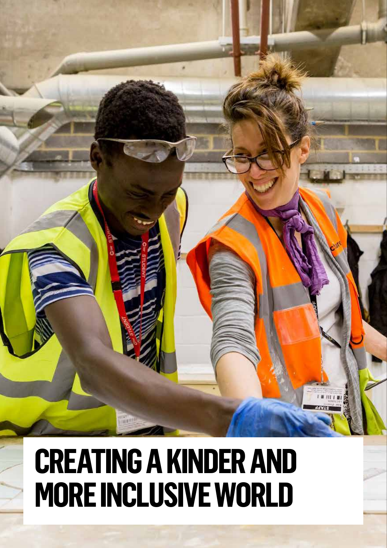# **CREATING A KINDER AND MORE INCLUSIVE WORLD**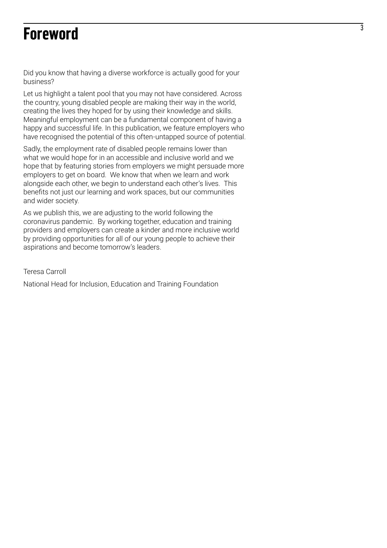### **Foreword**

Did you know that having a diverse workforce is actually good for your business?

Let us highlight a talent pool that you may not have considered. Across the country, young disabled people are making their way in the world, creating the lives they hoped for by using their knowledge and skills. Meaningful employment can be a fundamental component of having a happy and successful life. In this publication, we feature employers who have recognised the potential of this often-untapped source of potential.

Sadly, the employment rate of disabled people remains lower than what we would hope for in an accessible and inclusive world and we hope that by featuring stories from employers we might persuade more employers to get on board. We know that when we learn and work alongside each other, we begin to understand each other's lives. This benefits not just our learning and work spaces, but our communities and wider society.

As we publish this, we are adjusting to the world following the coronavirus pandemic. By working together, education and training providers and employers can create a kinder and more inclusive world by providing opportunities for all of our young people to achieve their aspirations and become tomorrow's leaders.

Teresa Carroll

National Head for Inclusion, Education and Training Foundation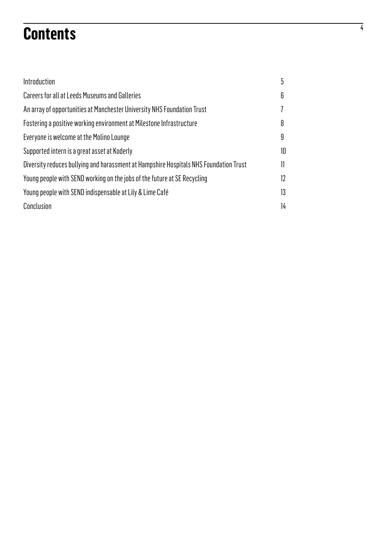## **Contents**

| Introduction                                                                          | 5  |
|---------------------------------------------------------------------------------------|----|
| Careers for all at Leeds Museums and Galleries                                        | 6  |
| An array of opportunities at Manchester University NHS Foundation Trust               |    |
| Fostering a positive working environment at Milestone Infrastructure                  | 8  |
| Everyone is welcome at the Molino Lounge                                              | 9  |
| Supported intern is a great asset at Koderly                                          | 10 |
| Diversity reduces bullying and harassment at Hampshire Hospitals NHS Foundation Trust | 11 |
| Young people with SEND working on the jobs of the future at SE Recycling              | 12 |
| Young people with SEND indispensable at Lily & Lime Café                              | 13 |
| Conclusion                                                                            | 14 |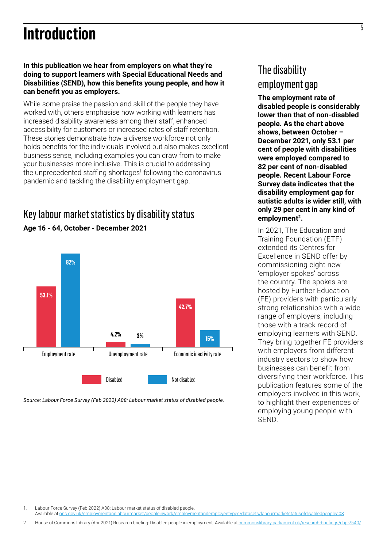### <span id="page-4-0"></span>**Introduction**

#### **In this publication we hear from employers on what they're doing to support learners with Special Educational Needs and Disabilities (SEND), how this benefits young people, and how it can benefit you as employers.**

While some praise the passion and skill of the people they have worked with, others emphasise how working with learners has increased disability awareness among their staff, enhanced accessibility for customers or increased rates of staff retention. These stories demonstrate how a diverse workforce not only holds benefits for the individuals involved but also makes excellent business sense, including examples you can draw from to make your businesses more inclusive. This is crucial to addressing the unprecedented staffing shortages<sup>1</sup> following the coronavirus pandemic and tackling the disability employment gap.

### Key labour market statistics by disability status **Age 16 - 64, October - December 2021**



*Source: Labour Force Survey (Feb 2022) A08: Labour market status of disabled people.*

### The disability employment gap

**The employment rate of disabled people is considerably lower than that of non-disabled people. As the chart above shows, between October – December 2021, only 53.1 per cent of people with disabilities were employed compared to 82 per cent of non-disabled people. Recent Labour Force Survey data indicates that the disability employment gap for autistic adults is wider still, with only 29 per cent in any kind of employment2.**

In 2021, The Education and Training Foundation (ETF) extended its Centres for Excellence in SEND offer by commissioning eight new 'employer spokes' across the country. The spokes are hosted by Further Education (FE) providers with particularly strong relationships with a wide range of employers, including those with a track record of employing learners with SEND. They bring together FE providers with employers from different industry sectors to show how businesses can benefit from diversifying their workforce. This publication features some of the employers involved in this work, to highlight their experiences of employing young people with SEND.

1. Labour Force Survey (Feb 2022) A08: Labour market status of disabled people. Available at [ons.gov.uk/employmentandlabourmarket/peopleinwork/employmentandemployeetypes/datasets/labourmarketstatusofdisabledpeoplea08](http://ons.gov.uk/employmentandlabourmarket/peopleinwork/employmentandemployeetypes/datasets/labourmarketstatusofdisabledpeoplea08)

2. House of Commons Library (Apr 2021) Research briefing: Disabled people in employment. Available at [commonslibrary.parliament.uk/research-briefings/cbp-7540/](http://commonslibrary.parliament.uk/research-briefings/cbp-7540/)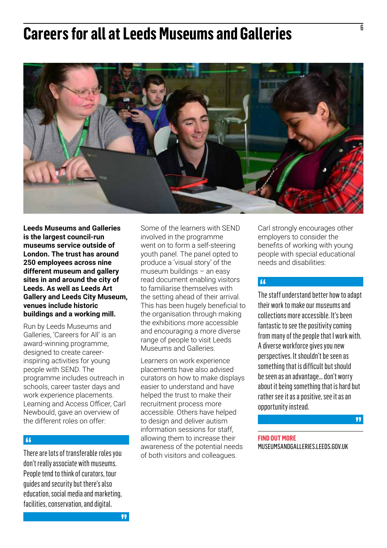### <span id="page-5-0"></span>**Careers for all at Leeds Museums and Galleries**



**Leeds Museums and Galleries is the largest council-run museums service outside of London. The trust has around 250 employees across nine different museum and gallery sites in and around the city of Leeds. As well as Leeds Art Gallery and Leeds City Museum, venues include historic buildings and a working mill.**

Run by Leeds Museums and Galleries, 'Careers for All' is an award-winning programme, designed to create careerinspiring activities for young people with SEND. The programme includes outreach in schools, career taster days and work experience placements. Learning and Access Officer, Carl Newbould, gave an overview of the different roles on offer:

#### $\overline{11}$

There are lots of transferable roles you don't really associate with museums. People tend to think of curators, tour guides and security but there's also education, social media and marketing, facilities, conservation, and digital.

Some of the learners with SEND involved in the programme went on to form a self-steering youth panel. The panel opted to produce a 'visual story' of the museum buildings – an easy read document enabling visitors to familiarise themselves with the setting ahead of their arrival. This has been hugely beneficial to the organisation through making the exhibitions more accessible and encouraging a more diverse range of people to visit Leeds Museums and Galleries.

Learners on work experience placements have also advised curators on how to make displays easier to understand and have helped the trust to make their recruitment process more accessible. Others have helped to design and deliver autism information sessions for staff, allowing them to increase their awareness of the potential needs of both visitors and colleagues.

Carl strongly encourages other employers to consider the benefits of working with young people with special educational needs and disabilities:

#### $\overline{11}$

The staff understand better how to adapt their work to make our museums and collections more accessible. It's been fantastic to see the positivity coming from many of the people that I work with. A diverse workforce gives you new perspectives. It shouldn't be seen as something that is difficult but should be seen as an advantage… don't worry about it being something that is hard but rather see it as a positive, see it as an opportunity instead.

#### 99

**FIND OUT MORE** [MUSEUMSANDGALLERIES.LEEDS.GOV.UK](http://museumsandgalleries.leeds.gov.uk)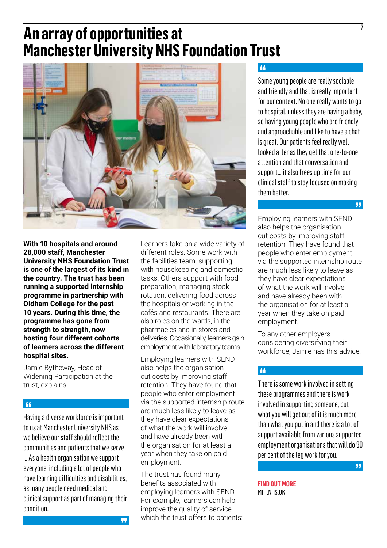### <span id="page-6-0"></span>**An array of opportunities at Manchester University NHS Foundation Trust**



**With 10 hospitals and around 28,000 staff, Manchester University NHS Foundation Trust is one of the largest of its kind in the country. The trust has been running a supported internship programme in partnership with Oldham College for the past 10 years. During this time, the programme has gone from strength to strength, now hosting four different cohorts of learners across the different hospital sites.**

Jamie Bytheway, Head of Widening Participation at the trust, explains:

#### $\overline{44}$

Having a diverse workforce is important to us at Manchester University NHS as we believe our staff should reflect the communities and patients that we serve … As a health organisation we support everyone, including a lot of people who have learning difficulties and disabilities, as many people need medical and clinical support as part of managing their condition.

Learners take on a wide variety of different roles. Some work with the facilities team, supporting with housekeeping and domestic tasks. Others support with food preparation, managing stock rotation, delivering food across the hospitals or working in the cafés and restaurants. There are also roles on the wards, in the pharmacies and in stores and deliveries. Occasionally, learners gain employment with laboratory teams.

Employing learners with SEND also helps the organisation cut costs by improving staff retention. They have found that people who enter employment via the supported internship route are much less likely to leave as they have clear expectations of what the work will involve and have already been with the organisation for at least a year when they take on paid employment.

The trust has found many benefits associated with employing learners with SEND. For example, learners can help improve the quality of service which the trust offers to patients:

#### $\overline{\mathbf{44}}$

Some young people are really sociable and friendly and that is really important for our context. No one really wants to go to hospital, unless they are having a baby, so having young people who are friendly and approachable and like to have a chat is great. Our patients feel really well looked after as they get that one-to-one attention and that conversation and support… it also frees up time for our clinical staff to stay focused on making them better.

Employing learners with SEND also helps the organisation cut costs by improving staff retention. They have found that people who enter employment via the supported internship route are much less likely to leave as they have clear expectations of what the work will involve and have already been with the organisation for at least a year when they take on paid employment.

To any other employers considering diversifying their workforce, Jamie has this advice:

#### $\overline{11}$

There is some work involved in setting these programmes and there is work involved in supporting someone, but what you will get out of it is much more than what you put in and there is a lot of support available from various supported employment organisations that will do 90 per cent of the leg work for you.

**FIND OUT MORE** [MFT.NHS.UK](http://mft.nhs.uk ) 

99.

11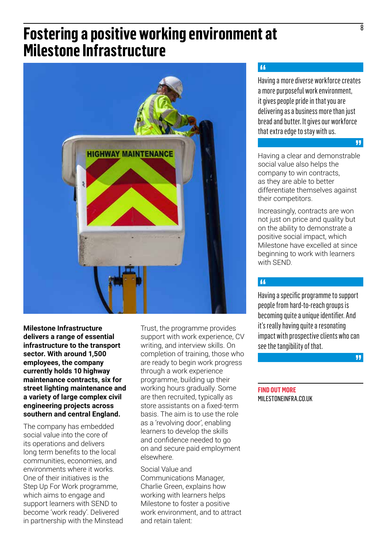### <span id="page-7-0"></span>**Fostering a positive working environment at Milestone Infrastructure**



**Milestone Infrastructure delivers a range of essential infrastructure to the transport sector. With around 1,500 employees, the company currently holds 10 highway maintenance contracts, six for street lighting maintenance and a variety of large complex civil engineering projects across southern and central England.**

The company has embedded social value into the core of its operations and delivers long term benefits to the local communities, economies, and environments where it works. One of their initiatives is the Step Up For Work programme, which aims to engage and support learners with SEND to become 'work ready'. Delivered in partnership with the Minstead Trust, the programme provides support with work experience, CV writing, and interview skills. On completion of training, those who are ready to begin work progress through a work experience programme, building up their working hours gradually. Some are then recruited, typically as store assistants on a fixed-term basis. The aim is to use the role as a 'revolving door', enabling learners to develop the skills and confidence needed to go on and secure paid employment elsewhere.

Social Value and Communications Manager, Charlie Green, explains how working with learners helps Milestone to foster a positive work environment, and to attract and retain talent:

#### $\overline{11}$

Having a more diverse workforce creates a more purposeful work environment, it gives people pride in that you are delivering as a business more than just bread and butter. It gives our workforce that extra edge to stay with us.

#### 99.

Having a clear and demonstrable social value also helps the company to win contracts, as they are able to better differentiate themselves against their competitors.

Increasingly, contracts are won not just on price and quality but on the ability to demonstrate a positive social impact, which Milestone have excelled at since beginning to work with learners with SEND.

#### 44

Having a specific programme to support people from hard-to-reach groups is becoming quite a unique identifier. And it's really having quite a resonating impact with prospective clients who can see the tangibility of that.

#### 99.

#### **FIND OUT MORE** MILESTONEINERA CO.UK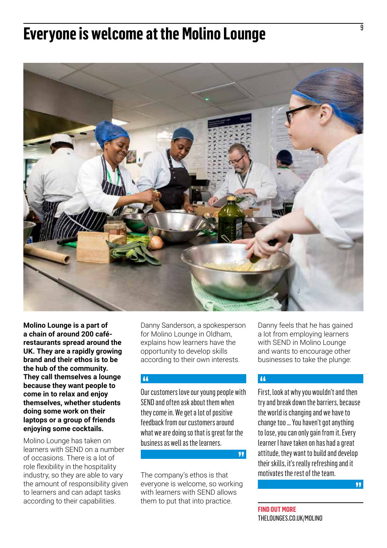### <span id="page-8-0"></span>**Everyone is welcome at the Molino Lounge**



**Molino Lounge is a part of a chain of around 200 caférestaurants spread around the UK. They are a rapidly growing brand and their ethos is to be the hub of the community. They call themselves a lounge because they want people to come in to relax and enjoy themselves, whether students doing some work on their laptops or a group of friends enjoying some cocktails.** 

Molino Lounge has taken on learners with SEND on a number of occasions. There is a lot of role flexibility in the hospitality industry, so they are able to vary the amount of responsibility given to learners and can adapt tasks according to their capabilities.

Danny Sanderson, a spokesperson for Molino Lounge in Oldham, explains how learners have the opportunity to develop skills according to their own interests.

#### $\overline{11}$

Our customers love our young people with SEND and often ask about them when they come in. We get a lot of positive feedback from our customers around what we are doing so that is great for the business as well as the learners.

The company's ethos is that everyone is welcome, so working with learners with SEND allows them to put that into practice.

Danny feels that he has gained a lot from employing learners with SEND in Molino Lounge and wants to encourage other businesses to take the plunge:

#### 44

99.

First, look at why you wouldn't and then try and break down the barriers, because the world is changing and we have to change too … You haven't got anything to lose, you can only gain from it. Every learner I have taken on has had a great attitude, they want to build and develop their skills, it's really refreshing and it motivates the rest of the team.

 $\overline{9}$ 

**FIND OUT MORE** [THELOUNGES.CO.UK/MOLINO](http://thelounges.co.uk/molino)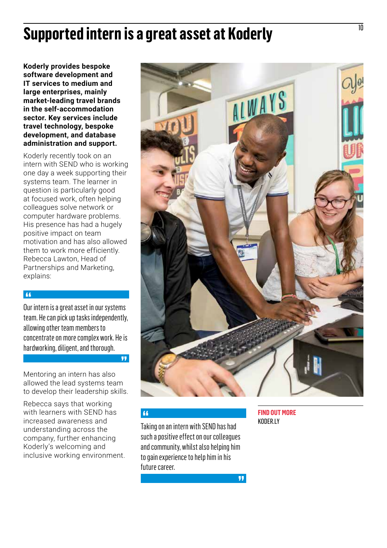### <span id="page-9-0"></span>**Supported intern is a great asset at Koderly**

**Koderly provides bespoke software development and IT services to medium and large enterprises, mainly market-leading travel brands in the self-accommodation sector. Key services include travel technology, bespoke development, and database administration and support.**

Koderly recently took on an intern with SEND who is working one day a week supporting their systems team. The learner in question is particularly good at focused work, often helping colleagues solve network or computer hardware problems. His presence has had a hugely positive impact on team motivation and has also allowed them to work more efficiently. Rebecca Lawton, Head of Partnerships and Marketing, explains:

#### **A4**

Our intern is a great asset in our systems team. He can pick up tasks independently, allowing other team members to concentrate on more complex work. He is hardworking, diligent, and thorough.

Mentoring an intern has also allowed the lead systems team to develop their leadership skills.

Rebecca says that working with learners with SEND has increased awareness and understanding across the company, further enhancing Koderly's welcoming and inclusive working environment.



 $\overline{11}$ 

99.

[KODER.LY](http://koder.ly) Taking on an intern with SEND has had such a positive effect on our colleagues and community, whilst also helping him to gain experience to help him in his future career.

**FIND OUT MORE**

 $\overline{\mathbf{H}}$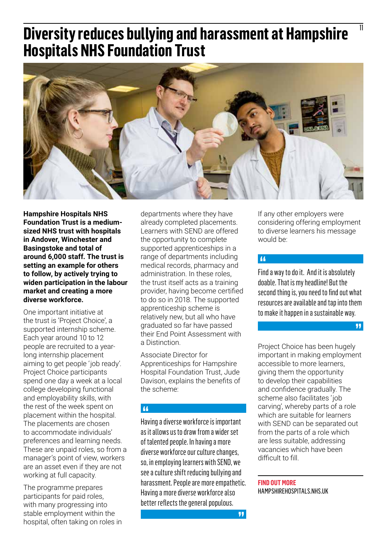### <span id="page-10-0"></span>**Diversity reduces bullying and harassment at Hampshire Hospitals NHS Foundation Trust**



**Hampshire Hospitals NHS Foundation Trust is a mediumsized NHS trust with hospitals in Andover, Winchester and Basingstoke and total of around 6,000 staff. The trust is setting an example for others to follow, by actively trying to widen participation in the labour market and creating a more diverse workforce.** 

One important initiative at the trust is 'Project Choice', a supported internship scheme. Each year around 10 to 12 people are recruited to a yearlong internship placement aiming to get people 'job ready'. Project Choice participants spend one day a week at a local college developing functional and employability skills, with the rest of the week spent on placement within the hospital. The placements are chosen to accommodate individuals' preferences and learning needs. These are unpaid roles, so from a manager's point of view, workers are an asset even if they are not working at full capacity.

The programme prepares participants for paid roles, with many progressing into stable employment within the hospital, often taking on roles in departments where they have already completed placements. Learners with SEND are offered the opportunity to complete supported apprenticeships in a range of departments including medical records, pharmacy and administration. In these roles, the trust itself acts as a training provider, having become certified to do so in 2018. The supported apprenticeship scheme is relatively new, but all who have graduated so far have passed their End Point Assessment with a Distinction.

Associate Director for Apprenticeships for Hampshire Hospital Foundation Trust, Jude Davison, explains the benefits of the scheme:

#### $\overline{16}$

Having a diverse workforce is important as it allows us to draw from a wider set of talented people. In having a more diverse workforce our culture changes, so, in employing learners with SEND, we see a culture shift reducing bullying and harassment. People are more empathetic. Having a more diverse workforce also better reflects the general populous.

If any other employers were considering offering employment to diverse learners his message would be:

#### 44

Find a way to do it. And it is absolutely doable. That is my headline! But the second thing is, you need to find out what resources are available and tap into them to make it happen in a sustainable way.

#### $\overline{\mathbf{H}}$

11

Project Choice has been hugely important in making employment accessible to more learners, giving them the opportunity to develop their capabilities and confidence gradually. The scheme also facilitates 'job carving', whereby parts of a role which are suitable for learners with SEND can be separated out from the parts of a role which are less suitable, addressing vacancies which have been difficult to fill.

#### **FIND OUT MORE** [HAMPSHIREHOSPITALS.NHS.UK](http://hampshirehospitals.nhs.uk)

 $\mathbf{H}$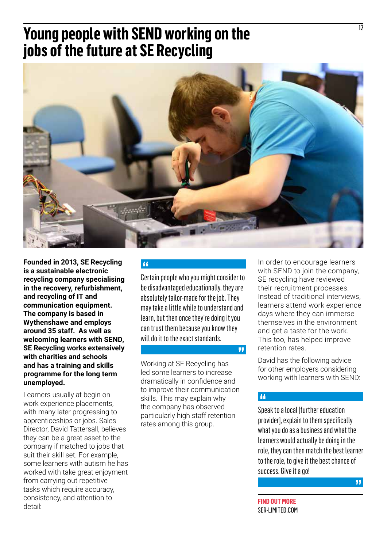### <span id="page-11-0"></span>**Young people with SEND working on the jobs of the future at SE Recycling**



**Founded in 2013, SE Recycling is a sustainable electronic recycling company specialising in the recovery, refurbishment, and recycling of IT and communication equipment. The company is based in Wythenshawe and employs around 35 staff. As well as welcoming learners with SEND, SE Recycling works extensively with charities and schools and has a training and skills programme for the long term unemployed.**

Learners usually at begin on work experience placements, with many later progressing to apprenticeships or jobs. Sales Director, David Tattersall, believes they can be a great asset to the company if matched to jobs that suit their skill set. For example, some learners with autism he has worked with take great enjoyment from carrying out repetitive tasks which require accuracy, consistency, and attention to detail:

#### $\overline{11}$

Certain people who you might consider to be disadvantaged educationally, they are absolutely tailor-made for the job. They may take a little while to understand and learn, but then once they're doing it you can trust them because you know they will do it to the exact standards.

 $\mathbf{H}$ 

Working at SE Recycling has led some learners to increase dramatically in confidence and to improve their communication skills. This may explain why the company has observed particularly high staff retention rates among this group.

In order to encourage learners with SEND to join the company, SE recycling have reviewed their recruitment processes. Instead of traditional interviews, learners attend work experience days where they can immerse themselves in the environment and get a taste for the work. This too, has helped improve retention rates.

David has the following advice for other employers considering working with learners with SEND:

#### $44$

Speak to a local [further education provider], explain to them specifically what you do as a business and what the learners would actually be doing in the role, they can then match the best learner to the role, to give it the best chance of success. Give it a go!

12

**FIND OUT MORE** [SER-LIMITED.COM](http://ser-limited.com)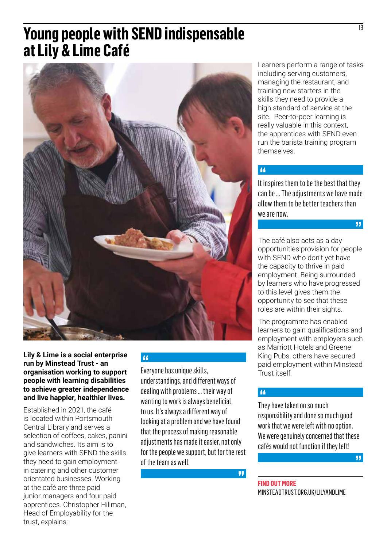### <span id="page-12-0"></span>**Young people with SEND indispensable at Lily & Lime Café**



**Lily & Lime is a social enterprise run by Minstead Trust - an organisation working to support people with learning disabilities to achieve greater independence and live happier, healthier lives.** 

Established in 2021, the café is located within Portsmouth Central Library and serves a selection of coffees, cakes, panini and sandwiches. Its aim is to give learners with SEND the skills they need to gain employment in catering and other customer orientated businesses. Working at the café are three paid junior managers and four paid apprentices. Christopher Hillman, Head of Employability for the trust, explains:

#### $\overline{16}$

Everyone has unique skills, understandings, and different ways of dealing with problems … their way of wanting to work is always beneficial to us. It's always a different way of looking at a problem and we have found that the process of making reasonable adjustments has made it easier, not only for the people we support, but for the rest of the team as well.

 $\pmb{\eta}$ 

Learners perform a range of tasks including serving customers, managing the restaurant, and training new starters in the skills they need to provide a high standard of service at the site. Peer-to-peer learning is really valuable in this context, the apprentices with SEND even run the barista training program themselves.

#### $\overline{11}$

It inspires them to be the best that they can be … The adjustments we have made allow them to be better teachers than we are now.

 $\overline{\mathbf{H}}$ 

The café also acts as a day opportunities provision for people with SEND who don't yet have the capacity to thrive in paid employment. Being surrounded by learners who have progressed to this level gives them the opportunity to see that these roles are within their sights.

The programme has enabled learners to gain qualifications and employment with employers such as Marriott Hotels and Greene King Pubs, others have secured paid employment within Minstead Trust itself.

#### $\overline{11}$

They have taken on so much responsibility and done so much good work that we were left with no option. We were genuinely concerned that these cafés would not function if they left!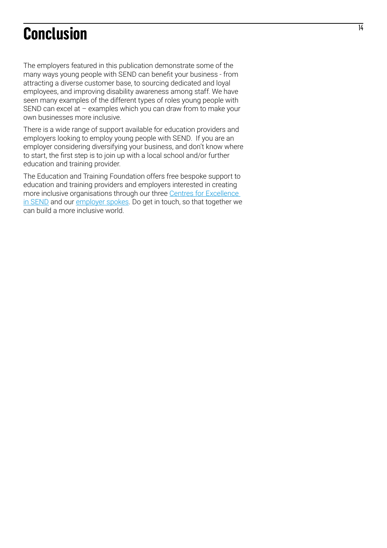### <span id="page-13-0"></span>**Conclusion**

The employers featured in this publication demonstrate some of the many ways young people with SEND can benefit your business - from attracting a diverse customer base, to sourcing dedicated and loyal employees, and improving disability awareness among staff. We have seen many examples of the different types of roles young people with SEND can excel at – examples which you can draw from to make your own businesses more inclusive.

There is a wide range of support available for education providers and employers looking to employ young people with SEND. If you are an employer considering diversifying your business, and don't know where to start, the first step is to join up with a local school and/or further education and training provider.

The Education and Training Foundation offers free bespoke support to education and training providers and employers interested in creating more inclusive organisations through our three [Centres for Excellence](https://send.excellencegateway.org.uk/centres-for-excellence)  [in SEND](https://send.excellencegateway.org.uk/centres-for-excellence) and our [employer spokes](https://send.excellencegateway.org.uk/employers-and-employability). Do get in touch, so that together we can build a more inclusive world.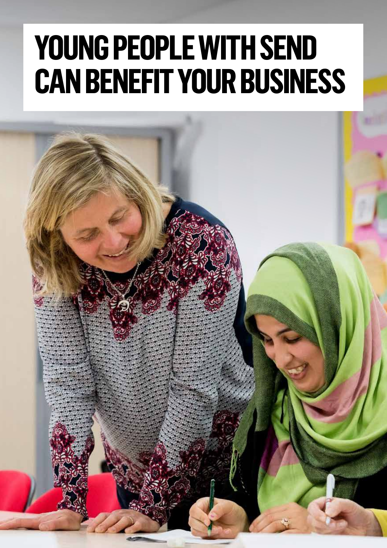# **YOUNG PEOPLE WITH SEND CAN BENEFIT YOUR BUSINESS**